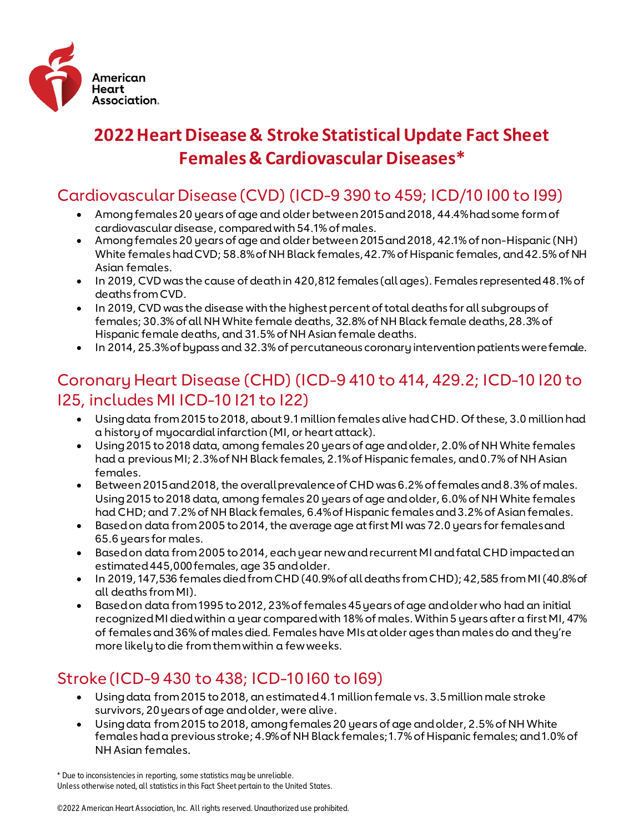

# **2022 Heart Disease & Stroke Statistical Update Fact Sheet Females & Cardiovascular Diseases\***

### Cardiovascular Disease (CVD) (ICD-9 390 to 459; ICD/10 I00 to I99)

- Among females 20 years of age and older between 2015 and 2018, 44.4% had some form of cardiovascular disease, compared with 54.1% of males.
- Among females 20 years of age and older between 2015 and 2018, 42.1% of non-Hispanic (NH) White females had CVD; 58.8% of NH Black females, 42.7% of Hispanic females, and 42.5% of NH Asian females.
- In 2019, CVD was the cause of death in 420,812 females (all ages). Females represented 48.1% of deaths from CVD.
- In 2019, CVD was the disease with the highest percent of total deaths for all subgroups of females; 30.3% of all NH White female deaths, 32.8% of NH Black female deaths, 28.3% of Hispanic female deaths, and 31.5% of NH Asian female deaths.
- In 2014, 25.3% of bypass and 32.3% of percutaneous coronary intervention patients were female.

## Coronary Heart Disease (CHD) (ICD-9 410 to 414, 429.2; ICD-10 I20 to I25, includes MI ICD-10 I21 to I22)

- Using data from 2015 to 2018, about 9.1 million females alive had CHD. Of these, 3.0 million had a history of myocardial infarction (MI, or heart attack).
- Using 2015 to 2018 data, among females 20 years of age and older, 2.0% of NH White females had a previous MI; 2.3% of NH Black females, 2.1% of Hispanic females, and 0.7% of NH Asian females.
- Between 2015 and 2018, the overall prevalence of CHD was 6.2% of females and 8.3% of males. Using 2015 to 2018 data, among females 20 years of age and older, 6.0% of NH White females had CHD; and 7.2% of NH Black females, 6.4% of Hispanic females and 3.2% of Asian females.
- Based on data from 2005 to 2014, the average age at first MI was 72.0 years for females and 65.6 years for males.
- Based on data from 2005 to 2014, each year new and recurrent MI and fatal CHD impacted an estimated 445,000 females, age 35 and older.
- In 2019, 147,536 females died from CHD (40.9% of all deaths from CHD); 42,585 from MI (40.8% of all deaths from MI).
- Based on data from 1995 to 2012, 23% of females 45 years of age and older who had an initial recognized MI died within a year compared with 18% of males. Within 5 years after a first MI, 47% of females and 36% of males died. Females have MIs at older ages than males do and they're more likely to die from them within a few weeks.

## Stroke (ICD-9 430 to 438; ICD-10 I60 to I69)

- Using data from 2015 to 2018, an estimated 4.1 million female vs. 3.5 million male stroke survivors, 20 years of age and older, were alive.
- Using data from 2015 to 2018, among females 20 years of age and older, 2.5% of NH White females had a previous stroke; 4.9% of NH Black females; 1.7% of Hispanic females; and 1.0% of NH Asian females.

<sup>\*</sup> Due to inconsistencies in reporting, some statistics may be unreliable. Unless otherwise noted, all statistics in this Fact Sheet pertain to the United States.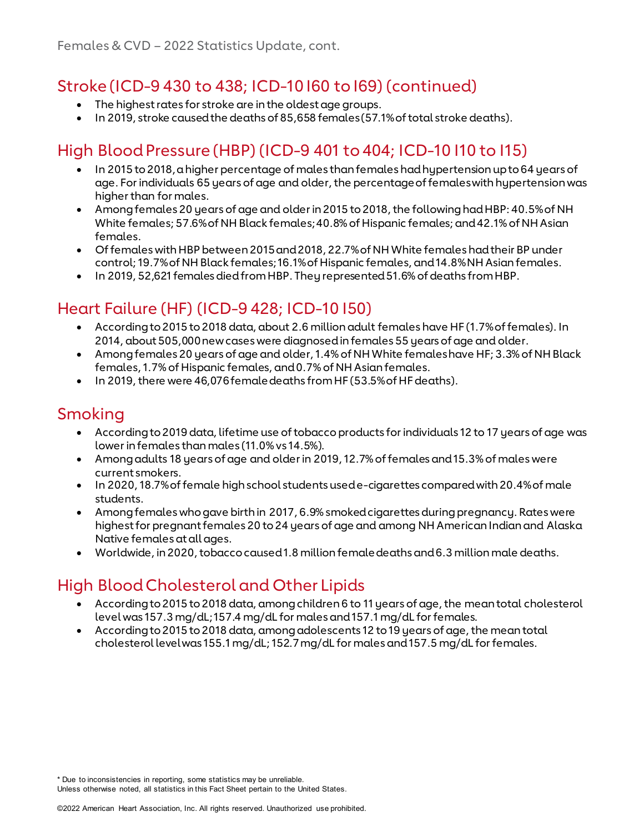#### Stroke (ICD-9 430 to 438; ICD-10 I60 to I69) (continued)

- The highest rates for stroke are in the oldest age groups.
- In 2019, stroke caused the deaths of 85,658 females (57.1% of total stroke deaths).

## High Blood Pressure (HBP) (ICD-9 401 to 404; ICD-10 I10 to I15)

- In 2015 to 2018, a higher percentage of males than females had hypertension up to 64 years of age. For individuals 65 years of age and older, the percentage of females with hypertension was higher than for males.
- Among females 20 years of age and older in 2015 to 2018, the following had HBP: 40.5% of NH White females; 57.6% of NH Black females; 40.8% of Hispanic females; and 42.1% of NH Asian females.
- Of females with HBP between 2015 and 2018, 22.7% of NH White females had their BP under control; 19.7% of NH Black females; 16.1% of Hispanic females, and 14.8% NH Asian females.
- In 2019, 52,621 females died from HBP. They represented 51.6% of deaths from HBP.

#### Heart Failure (HF) (ICD-9 428; ICD-10 I50)

- According to 2015 to 2018 data, about 2.6 million adult females have HF (1.7% of females). In 2014, about 505,000 new cases were diagnosed in females 55 years of age and older.
- Among females 20 years of age and older, 1.4% of NH White females have HF; 3.3% of NH Black females, 1.7% of Hispanic females, and 0.7% of NH Asian females.
- In 2019, there were 46,076 female deaths from HF (53.5% of HF deaths).

#### Smoking

- According to 2019 data, lifetime use of tobacco products for individuals 12 to 17 years of age was lower in females than males (11.0% vs 14.5%).
- Among adults 18 years of age and older in 2019, 12.7% of females and 15.3% of males were current smokers.
- In 2020, 18.7% of female high school students used e-cigarettes compared with 20.4% of male students.
- Among females who gave birth in 2017, 6.9% smoked cigarettes during pregnancy. Rates were highest for pregnant females 20 to 24 years of age and among NH American Indian and Alaska Native females at all ages.
- Worldwide, in 2020, tobacco caused 1.8 million female deaths and 6.3 million male deaths.

## High Blood Cholesterol and Other Lipids

- According to 2015 to 2018 data, among children 6 to 11 years of age, the mean total cholesterol level was 157.3 mg/dL; 157.4 mg/dL for males and 157.1 mg/dL for females.
- According to 2015 to 2018 data, among adolescents 12 to 19 years of age, the mean total cholesterol level was 155.1 mg/dL; 152.7 mg/dL for males and 157.5 mg/dL for females.

\* Due to inconsistencies in reporting, some statistics may be unreliable.

Unless otherwise noted, all statistics in this Fact Sheet pertain to the United States.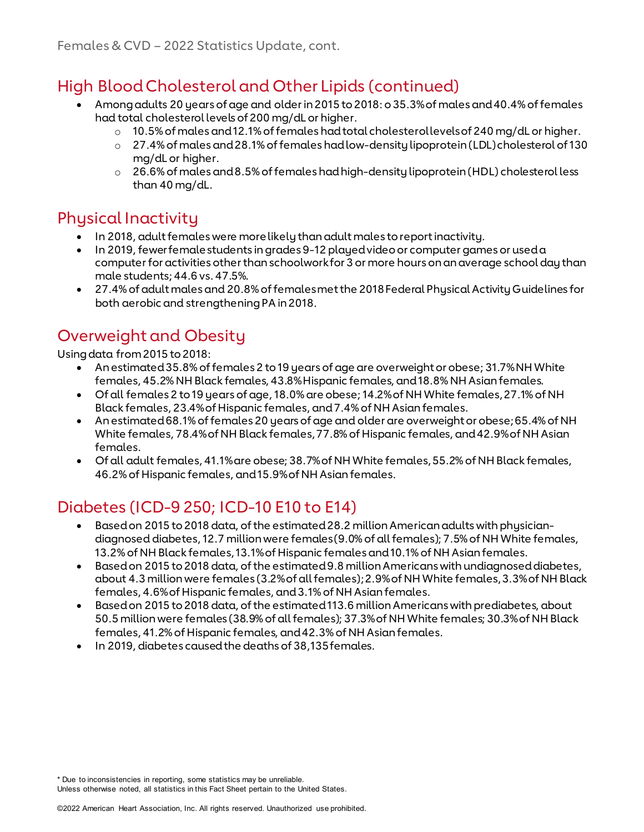### High Blood Cholesterol and Other Lipids (continued)

- Among adults 20 years of age and older in 2015 to 2018: o 35.3% of males and 40.4% of females had total cholesterol levels of 200 mg/dL or higher.
	- $\circ$  10.5% of males and 12.1% of females had total cholesterol levels of 240 mg/dL or higher.
		- o 27.4% of males and 28.1% of females had low-density lipoprotein (LDL) cholesterol of 130 mg/dL or higher.
		- $\circ$  26.6% of males and 8.5% of females had high-density lipoprotein (HDL) cholesterol less than 40 mg/dL.

#### Physical Inactivity

- In 2018, adult females were more likely than adult males to report inactivity.
- In 2019, fewer female students in grades 9-12 played video or computer games or used a computer for activities other than schoolwork for 3 or more hours on an average school day than male students; 44.6 vs. 47.5%.
- 27.4% of adult males and 20.8% of females met the 2018 Federal Physical Activity Guidelines for both aerobic and strengthening PA in 2018.

## Overweight and Obesity

Using data from 2015 to 2018:

- An estimated 35.8% of females 2 to 19 years of age are overweight or obese; 31.7% NH White females, 45.2% NH Black females, 43.8% Hispanic females, and 18.8% NH Asian females.
- Of all females 2 to 19 years of age, 18.0% are obese; 14.2% of NH White females, 27.1% of NH Black females, 23.4% of Hispanic females, and 7.4% of NH Asian females.
- An estimated 68.1% of females 20 years of age and older are overweight or obese; 65.4% of NH White females, 78.4% of NH Black females, 77.8% of Hispanic females, and 42.9% of NH Asian females.
- Of all adult females, 41.1% are obese; 38.7% of NH White females, 55.2% of NH Black females, 46.2% of Hispanic females, and 15.9% of NH Asian females.

## Diabetes (ICD-9 250; ICD-10 E10 to E14)

- Based on 2015 to 2018 data, of the estimated 28.2 million American adults with physiciandiagnosed diabetes, 12.7 million were females (9.0% of all females); 7.5% of NH White females, 13.2% of NH Black females, 13.1% of Hispanic females and 10.1% of NH Asian females.
- Based on 2015 to 2018 data, of the estimated 9.8 million Americans with undiagnosed diabetes, about 4.3 million were females (3.2% of all females); 2.9% of NH White females, 3.3% of NH Black females, 4.6% of Hispanic females, and 3.1% of NH Asian females.
- Based on 2015 to 2018 data, of the estimated 113.6 million Americans with prediabetes, about 50.5 million were females (38.9% of all females); 37.3% of NH White females; 30.3% of NH Black females, 41.2% of Hispanic females, and 42.3% of NH Asian females.
- In 2019, diabetes caused the deaths of 38,135 females.

\* Due to inconsistencies in reporting, some statistics may be unreliable.

Unless otherwise noted, all statistics in this Fact Sheet pertain to the United States.